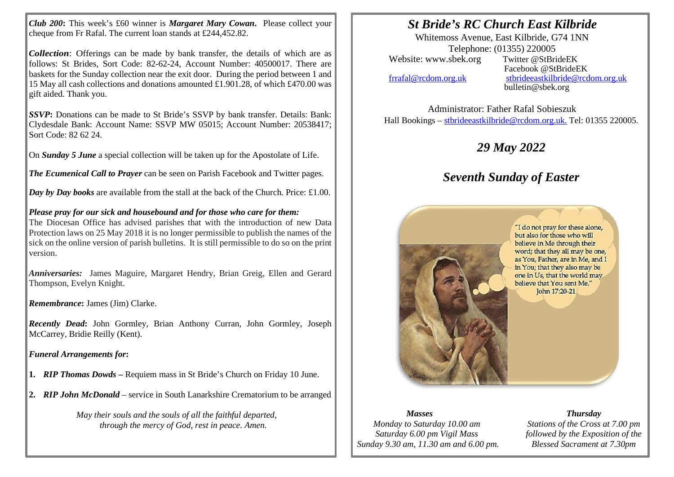*Club 200***:** This week's £60 winner is *Margaret Mary Cowan***.** Please collect your cheque from Fr Rafal. The current loan stands at £244,452.82.

*Collection*: Offerings can be made by bank transfer, the details of which are as follows: St Brides, Sort Code: 82-62-24, Account Number: 40500017. There are baskets for the Sunday collection near the exit door. During the period between 1 and 15 May all cash collections and donations amounted £1.901.28, of which £470.00 was gift aided. Thank you.

*SSVP***:** Donations can be made to St Bride's SSVP by bank transfer. Details: Bank: Clydesdale Bank: Account Name: SSVP MW 05015; Account Number: 20538417; Sort Code: 82 62 24.

On *Sunday 5 June* a special collection will be taken up for the Apostolate of Life.

*The Ecumenical Call to Prayer* can be seen on Parish Facebook and Twitter pages.

*Day by Day books* are available from the stall at the back of the Church. Price: £1.00.

*Please pray for our sick and housebound and for those who care for them:*

The Diocesan Office has advised parishes that with the introduction of new Data Protection laws on 25 May 2018 it is no longer permissible to publish the names of the sick on the online version of parish bulletins. It is still permissible to do so on the print version.

*Anniversaries:* James Maguire, Margaret Hendry, Brian Greig, Ellen and Gerard Thompson, Evelyn Knight.

*Remembrance***:** James (Jim) Clarke.

*Recently Dead***:** John Gormley, Brian Anthony Curran, John Gormley, Joseph McCarrey, Bridie Reilly (Kent).

*Funeral Arrangements for***:**

- **1.** *RIP Thomas Dowds* **–** Requiem mass in St Bride's Church on Friday 10 June.
- **2.** *RIP John McDonald* service in South Lanarkshire Crematorium to be arranged

*May their souls and the souls of all the faithful departed, through the mercy of God, rest in peace. Amen.*

## *St Bride's RC Church East Kilbride*

Whitemoss Avenue, East Kilbride, G74 1NN Telephone: (01355) 220005<br>sbek.org Twitter @StBrideEK Website: www.sbek.org

I I

> Facebook @StBrideEK [frrafal@rcdom.org.uk](mailto:frrafal@rcdom.org.uk) [stbrideeastkilbride@rcdom.org.uk](mailto:stbrideeastkilbride@rcdom.org.uk)  bulletin@sbek.org

Administrator: Father Rafal Sobieszuk Hall Bookings – [stbrideeastkilbride@rcdom.org.uk.](mailto:stbrideeastkilbride@rcdom.org.uk) Tel: 01355 220005.

## *29 May 2022*

## *Seventh Sunday of Easter*



## *Masses*

*Monday to Saturday 10.00 am Saturday 6.00 pm Vigil Mass Sunday 9.30 am, 11.30 am and 6.00 pm.*

*Thursday Stations of the Cross at 7.00 pm followed by the Exposition of the Blessed Sacrament at 7.30pm*